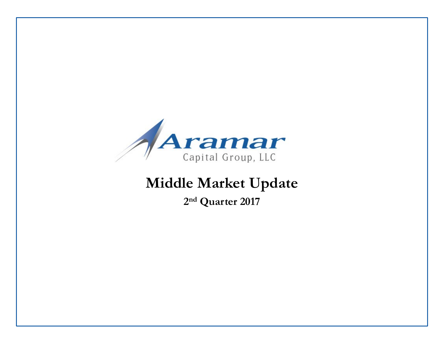

# **Middle Market Update**

**2nd Quarter 2017**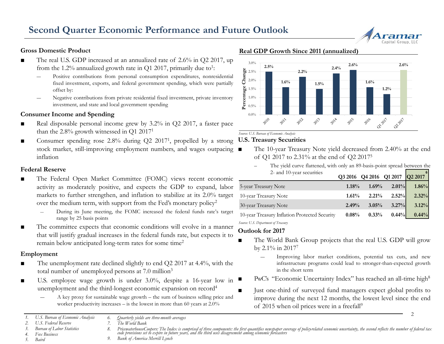

#### **Gross Domestic Product**

- The real U.S. GDP increased at an annualized rate of 2.6% in Q2 2017, up from the 1.2% annualized growth rate in Q1 2017, primarily due to<sup>1</sup>:
	- ― Positive contributions from personal consumption expenditures, nonresidential fixed investment, exports, and federal government spending, which were partially offset by:
	- ― Negative contributions from private residential fixed investment, private inventory investment, and state and local government spending

#### **Consumer Income and Spending**

- Real disposable personal income grew by 3.2% in Q2 2017, a faster pace than the  $2.8\%$  growth witnessed in O1 2017<sup>1</sup>
- Consumer spending rose 2.8% during Q2 2017<sup>1</sup>, propelled by a strong U.S. Treasury Securities stock market, still-improving employment numbers, and wages outpacing  $\blacksquare$ inflation

#### **Federal Reserve**

- The Federal Open Market Committee (FOMC) views recent economic activity as moderately positive, and expects the GDP to expand, labor markets to further strengthen, and inflation to stabilize at its 2.0% target over the medium term, with support from the Fed's monetary policy<sup>2</sup>
	- During its June meeting, the FOMC increased the federal funds rate's target range by 25 basis points
- The committee expects that economic conditions will evolve in a manner that will justify gradual increases in the federal funds rate, but expects it to remain below anticipated long-term rates for some time2

#### **Employment**

- The unemployment rate declined slightly to end Q2 2017 at 4.4%, with the total number of unemployed persons at 7.0 million<sup>3</sup>
- U.S. employee wage growth is under 3.0%, despite a 16-year low in unemployment and the third-longest economic expansion on record4
	- ― A key proxy for sustainable wage growth the sum of business selling price and worker productivity increases – is the lowest in more than 60 years at  $2.0\%$

- *3. Bureau of Labor Statistics*
- *4. Fox Business*
- *5. Baird*

PricewaterhouseCoopers: The Index is comprised of three components: the first quantifies newspaper coverage of policy-related economic uncertainty, the second reflects the number of federal tax<br>code provisions set to expir

*6. Quarterly yields are three-month averages*

*9. Bank of America Merrill Lynch*

*7. The World Bank*

#### **Real GDP Growth Since 2011 (annualized)**



*Source: U.S. Bureau of Economic Analysis*

- The 10-year Treasury Note yield decreased from 2.40% at the end of Q1 2017 to 2.31% at the end of Q2 20175
	- The yield curve flattened, with only an 89-basis-point spread between the 2- and 10-year securities **Q3 2016 Q4 2016 Q1 2017 Q2 2017 6**

|                                               |          | $Q_3$ 2010 $Q_4$ 2010 $Q_1$ 2017 $Q_2$ 2017 |       |       |
|-----------------------------------------------|----------|---------------------------------------------|-------|-------|
| 5-year Treasury Note                          | 1.18%    | $1.69\%$                                    | 2.01% | 1.86% |
| 10-year Treasury Note                         | 1.61%    | $2.21\%$                                    | 2.52% | 2.32% |
| 30-year Treasury Note                         | 2.49%    | 3.05%                                       | 3.27% | 3.12% |
| 10-year Treasury Inflation Protected Security | $0.08\%$ | $0.33\%$                                    | 0.44% | 0.44% |
|                                               |          |                                             |       |       |

*Source: U.S. Department of Treasury*

#### **Outlook for 2017**

- The World Bank Group projects that the real U.S. GDP will grow by 2.1% in 20177
	- Improving labor market conditions, potential tax cuts, and new infrastructure programs could lead to stronger-than-expected growth in the short term
	- PwC's "Economic Uncertainty Index" has reached an all-time high<sup>8</sup>
- Just one-third of surveyed fund managers expect global profits to improve during the next 12 months, the lowest level since the end of 2015 when oil prices were in a freefall<sup>9</sup>

2

*<sup>1.</sup> U.S. Bureau of Economic Analysis* 

*<sup>2.</sup> U.S. Federal Reserve*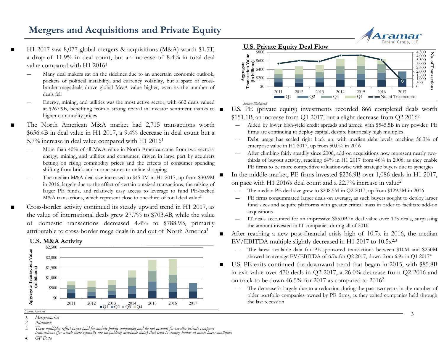# **Mergers and Acquisitions and Private Equity**

- H1 2017 saw 8,077 global mergers & acquisitions (M&A) worth \$1.5T, a drop of 11.9% in deal count, but an increase of 8.4% in total deal value compared with H1 2016<sup>1</sup>
	- Many deal makers sat on the sidelines due to an uncertain economic outlook, pockets of political instability, and currency volatility, but a spate of crossborder megadeals drove global M&A value higher, even as the number of deals fell
	- ― Energy, mining, and utilities was the most active sector, with 662 deals valued at \$267.9B, benefiting from a strong revival in investor sentiment thanks to higher commodity prices
- The North American M&A market had 2,715 transactions worth \$656.4B in deal value in H1 2017, a 9.4% decrease in deal count but a 5.7% increase in deal value compared with H1 20161
	- More than 40% of all M&A value in North America came from two sectors: energy, mining, and utilities and consumer, driven in large part by acquirers betting on rising commodity prices and the effects of consumer spending shifting from brick-and-mortar stores to online shopping
	- The median M&A deal size increased to \$45.0M in H1 2017, up from \$30.9M in 2016, largely due to the effect of certain outsized transactions, the raising of larger PE funds, and relatively easy access to leverage to fund PE-backed M&A transactions, which represent close to one-third of total deal value<sup>2</sup>
- Cross-border activity continued its steady upward trend in H1 2017, as the value of international deals grew 27.7% to \$703.4B, while the value of domestic transactions decreased 4.4% to \$788.9B, primarily attributable to cross-border mega deals in and out of North America1



*Source: FactSet*



U.S. PE (private equity) investments recorded 866 completed deals worth \$151.1B, an increase from Q1 2017, but a slight decrease from Q2 20162

- Aided by lower high-yield credit spreads and armed with \$545.5B in dry powder, PE firms are continuing to deploy capital, despite historically high multiples
- ― Debt usage has scaled right back up, with median debt levels reaching 56.3% of enterprise value in H1 2017, up from 50.0% in 2016
- ― After climbing fairly steadily since 2006, add-on acquisitions now represent nearly twothirds of buyout activity, reaching 64% in H1 2017 from 46% in 2006, as they enable PE firms to be more competitive valuation-wise with strategic buyers due to synergies
- In the middle-market, PE firms invested \$236.9B over 1,086 deals in H1 2017, on pace with H1 2016's deal count and a 22.7% increase in value2
	- The median PE deal size grew to \$208.5M in Q2 2017, up from \$129.3M in 2016
	- PE firms consummated larger deals on average, as such buyers sought to deploy larger fund sizes and acquire platforms with greater critical mass in order to facilitate add-on acquisitions
	- IT deals accounted for an impressive \$65.0B in deal value over 175 deals, surpassing the amount invested in IT companies during all of 2016
- After reaching a new post-financial crisis high of  $10.7x$  in 2016, the median EV/EBITDA multiple slightly decreased in H1 2017 to  $10.5x^{2,3}$ 
	- The latest available data for PE-sponsored transactions between \$10M and \$250M showed an average EV/EBITDA of 6.7x for Q2 2017, down from 6.9x in Q1 20174
- U.S. PE exits continued the downward trend that began in 2015, with \$85.8B in exit value over 470 deals in Q2 2017, a 26.0% decrease from Q2 2016 and on track to be down 46.5% for 2017 as compared to 20162
	- The decrease is largely due to a reduction during the past two years in the number of older portfolio companies owned by PE firms, as they exited companies held through the last recession

3

*<sup>1.</sup> Mergermarket*

*<sup>2.</sup> Pitchbook*

<sup>3.</sup> These multiples reflect prices paid for mainly public companies and do not account for smaller private company<br>transactions (for which there typically are no publicly available data) that tend to change hands at much lo

*<sup>4.</sup> GF Data*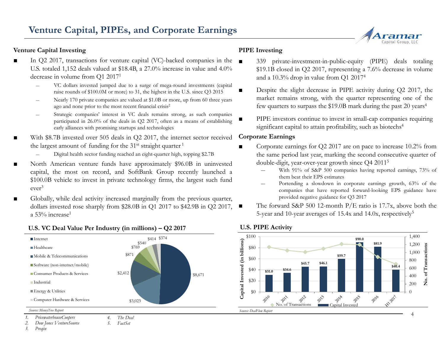# **Venture Capital Investing**

- In Q2 2017, transactions for venture capital (VC)-backed companies in the U.S. totaled 1,152 deals valued at \$18.4B, a 27.0% increase in value and 4.0% decrease in volume from Q1 20171
	- ― VC dollars invested jumped due to a surge of mega-round investments (capital raise rounds of \$100.0M or more) to 31, the highest in the U.S. since Q3 2015
	- Nearly 170 private companies are valued at \$1.0B or more, up from 60 three years ago and none prior to the most recent financial crisis<sup>2</sup>
	- Strategic companies' interest in VC deals remains strong, as such companies participated in 26.0% of the deals in Q2 2017, often as a means of establishing early alliances with promising startups and technologies
- With \$8.7B invested over 505 deals in Q2 2017, the internet sector received the largest amount of funding for the  $31<sup>st</sup>$  straight quarter  $<sup>1</sup>$ </sup>
	- ― Digital health sector funding reached an eight-quarter high, topping \$2.7B
- North American venture funds have approximately \$96.0B in uninvested capital, the most on record, and SoftBank Group recently launched a \$100.0B vehicle to invest in private technology firms, the largest such fund  $e^{\gamma}$
- Globally, while deal activity increased marginally from the previous quarter, dollars invested rose sharply from \$28.0B in Q1 2017 to \$42.9B in Q2 2017,  $\blacksquare$ a  $53\%$  increase<sup>1</sup>

# **U.S. VC Deal Value Per Industry (in millions) – Q2 2017**



*<sup>5.</sup> FactSet*

*2. Dow Jones VentureSource*

*3. Preqin*

# **PIPE Investing**

339 private-investment-in-public-equity (PIPE) deals totaling \$19.1B closed in Q2 2017, representing a 7.6% decrease in volume and a 10.3% drop in value from Q1 20174

Capital Group, LLC

- Despite the slight decrease in PIPE activity during Q2 2017, the market remains strong, with the quarter representing one of the few quarters to surpass the \$19.0B mark during the past 20 years<sup>4</sup>
- PIPE investors continue to invest in small-cap companies requiring significant capital to attain profitability, such as biotechs<sup>4</sup>

#### **Corporate Earnings**

- Corporate earnings for Q2 2017 are on pace to increase 10.2% from the same period last year, marking the second consecutive quarter of double-digit, year-over-year growth since Q4 20115
	- With 91% of S&P 500 companies having reported earnings, 73% of them beat their EPS estimates
	- Portending a slowdown in corporate earnings growth, 63% of the companies that have reported forward-looking EPS guidance have provided negative guidance for Q3 2017
	- The forward S&P 500 12-month  $P/E$  ratio is 17.7x, above both the 5-year and 10-year averages of 15.4x and 14.0x, respectively5



# **U.S. PIPE Activity**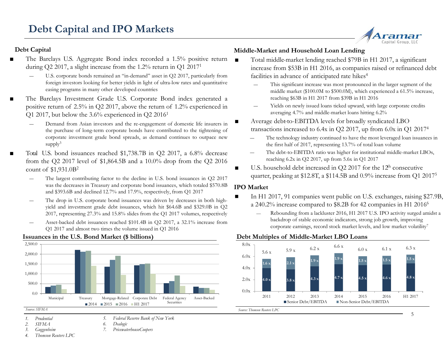# **Debt Capital**

- The Barclays U.S. Aggregate Bond index recorded a 1.5% positive return during Q2 2017, a slight increase from the 1.2% return in Q1 20171
	- U.S. corporate bonds remained an "in-demand" asset in Q2 2017, particularly from foreign investors looking for better yields in light of ultra-low rates and quantitative easing programs in many other developed countries
- The Barclays Investment Grade U.S. Corporate Bond index generated a positive return of 2.5% in Q2 2017, above the return of 1.2% experienced in O1 2017, but below the  $3.6\%$  experienced in O2 2016<sup>1</sup>
	- ― Demand from Asian investors and the re-engagement of domestic life insurers in the purchase of long-term corporate bonds have contributed to the tightening of corporate investment grade bond spreads, as demand continues to outpace new supply<sup>3</sup>
- Total U.S. bond issuances reached \$1,738.7B in Q2 2017, a 6.8% decrease from the Q2 2017 level of \$1,864.5B and a 10.0% drop from the Q2 2016 count of \$1,931.0B2
	- The largest contributing factor to the decline in U.S. bond issuances in Q2 2017 was the decreases in Treasury and corporate bond issuances, which totaled \$570.8B and \$393.6B and declined 12.7% and 17.9%, respectively, from Q1 2017
	- The drop in U.S. corporate bond issuances was driven by decreases in both highyield and investment grade debt issuances, which hit \$64.6B and \$329.0B in Q2 2017, representing 27.3% and 15.8% slides from the Q1 2017 volumes, respectively
	- ― Asset-backed debt issuances reached \$101.4B in Q2 2017, a 32.1% increase from Q1 2017 and almost two times the volume issued in Q1 2016

#### 0.0 500.0 1,000.0 1,500.0 2,000.0 2,500.0 Municipal Treasury Mortgage-Related Corporate Debt Federal Agency Securities Asset-Backed  $\blacksquare$ 2014  $\blacksquare$ 2015  $\blacksquare$ 2016  $\blacksquare$  H1 2017 *Source: SIFMA*

*6. Dealogic*

*5. Federal Reserve Bank of New York*

*7. PricewaterhouseCoopers*

#### **Issuances in the U.S. Bond Market (\$ billions)**

# **Middle-Market and Household Loan Lending**

- Total middle-market lending reached \$79B in H1 2017, a significant increase from \$53B in H1 2016, as companies raised or refinanced debt facilities in advance of anticipated rate hikes<sup>4</sup>
	- This significant increase was most pronounced in the larger segment of the middle market (\$100.0M to \$500.0M), which experienced a 61.5% increase, reaching \$63B in H1 2017 from \$39B in H1 2016
	- Yields on newly issued loans ticked upward, with large corporate credits averaging 4.7% and middle-market loans hitting 6.2%
- Average debt-to-EBITDA levels for broadly syndicated LBO transactions increased to 6.4x in Q2 2017, up from 6.0x in Q1 20174
	- ― The technology industry continued to have the most leveraged loan issuances in the first half of 2017, representing 13.7% of total loan volume
	- The debt-to-EBITDA ratio was higher for institutional middle-market LBOs, reaching 6.2x in Q2 2017, up from 5.6x in Q1 2017
- U.S. household debt increased in Q2 2017 for the  $12<sup>th</sup>$  consecutive quarter, peaking at \$12.8T, a \$114.5B and 0.9% increase from Q1 20175

# **IPO Market**

- In H1 2017, 91 companies went public on U.S. exchanges, raising \$27.9B, a 240.2% increase compared to \$8.2B for 42 companies in H1 20166
	- Rebounding from a lackluster 2016, H1 2017 U.S. IPO activity surged amidst a backdrop of stable economic indicators, strong job growth, improving corporate earnings, record stock market levels, and low market volatility<sup>7</sup>

#### **Debt Multiples of Middle-Market LBO Loans**



- *1. Prudential*
- *2. SIFMA*
- 
- *3. Guggenheim*
- *4. Thomson Reuters LPC*

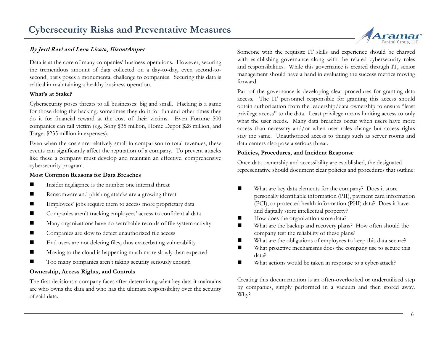# By Jerri Ravi and Lena Licata, EisnerAmper

Data is at the core of many companies' business operations. However, securing the tremendous amount of data collected on a day-to-day, even second-tosecond, basis poses a monumental challenge to companies. Securing this data is critical in maintaining a healthy business operation.

#### **What's at Stake?**

Cybersecurity poses threats to all businesses: big and small. Hacking is a game for those doing the hacking: sometimes they do it for fun and other times they do it for financial reward at the cost of their victims. Even Fortune 500 companies can fall victim (*e.g.*, Sony \$35 million, Home Depot \$28 million, and Target \$235 million in expenses).

Even when the costs are relatively small in comparison to total revenues, these events can significantly affect the reputation of a company. To prevent attacks like these a company must develop and maintain an effective, comprehensive cybersecurity program.

#### **Most Common Reasons for Data Breaches**

- Insider negligence is the number one internal threat
- **Ransomware and phishing attacks are a growing threat**
- Employees' jobs require them to access more proprietary data
- Companies aren't tracking employees' access to confidential data
- Many organizations have no searchable records of file system activity
- Companies are slow to detect unauthorized file access
- End users are not deleting files, thus exacerbating vulnerability
- Moving to the cloud is happening much more slowly than expected
- Too many companies aren't taking security seriously enough

#### **Ownership, Access Rights, and Controls**

The first decisions a company faces after determining what key data it maintains are who owns the data and who has the ultimate responsibility over the security of said data.

Someone with the requisite IT skills and experience should be charged with establishing governance along with the related cybersecurity roles and responsibilities. While this governance is created through IT, senior management should have a hand in evaluating the success metrics moving forward.

Part of the governance is developing clear procedures for granting data access. The IT personnel responsible for granting this access should obtain authorization from the leadership/data ownership to ensure "least privilege access" to the data. Least privilege means limiting access to only what the user needs. Many data breaches occur when users have more access than necessary and/or when user roles change but access rights stay the same. Unauthorized access to things such as server rooms and data centers also pose a serious threat.

#### **Policies, Procedures, and Incident Response**

Once data ownership and accessibility are established, the designated representative should document clear policies and procedures that outline:

- What are key data elements for the company? Does it store personally identifiable information (PII), payment card information (PCI), or protected health information (PHI) data? Does it have and digitally store intellectual property?
- How does the organization store data?
- What are the backup and recovery plans? How often should the company test the reliability of these plans?
- What are the obligations of employees to keep this data secure?
- What proactive mechanisms does the company use to secure this data?
- What actions would be taken in response to a cyber-attack?

Creating this documentation is an often-overlooked or underutilized step by companies, simply performed in a vacuum and then stored away. Why?

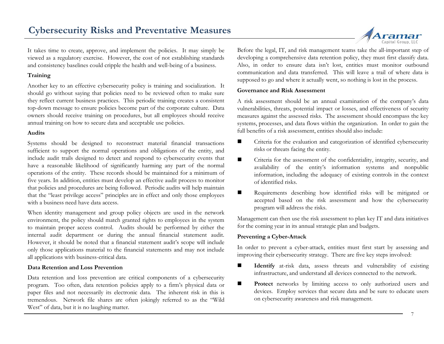It takes time to create, approve, and implement the policies. It may simply be viewed as a regulatory exercise. However, the cost of not establishing standards and consistency baselines could cripple the health and well-being of a business.

# **Training**

Another key to an effective cybersecurity policy is training and socialization. It should go without saying that policies need to be reviewed often to make sure they reflect current business practices. This periodic training creates a consistent top-down message to ensure policies become part of the corporate culture. Data owners should receive training on procedures, but all employees should receive annual training on how to secure data and acceptable use policies.

# **Audits**

Systems should be designed to reconstruct material financial transactions sufficient to support the normal operations and obligations of the entity, and include audit trails designed to detect and respond to cybersecurity events that have a reasonable likelihood of significantly harming any part of the normal operations of the entity. These records should be maintained for a minimum of five years. In addition, entities must develop an effective audit process to monitor that policies and procedures are being followed. Periodic audits will help maintain that the "least privilege access" principles are in effect and only those employees with a business need have data access.

When identity management and group policy objects are used in the network environment, the policy should match granted rights to employees in the system to maintain proper access control. Audits should be performed by either the internal audit department or during the annual financial statement audit. However, it should be noted that a financial statement audit's scope will include only those applications material to the financial statements and may not include all applications with business-critical data.

# **Data Retention and Loss Prevention**

Data retention and loss prevention are critical components of a cybersecurity program. Too often, data retention policies apply to a firm's physical data or paper files and not necessarily its electronic data. The inherent risk in this is tremendous. Network file shares are often jokingly referred to as the "Wild West" of data, but it is no laughing matter.

Before the legal, IT, and risk management teams take the all-important step of developing a comprehensive data retention policy, they must first classify data. Also, in order to ensure data isn't lost, entities must monitor outbound communication and data transferred. This will leave a trail of where data is supposed to go and where it actually went, so nothing is lost in the process.

# **Governance and Risk Assessment**

A risk assessment should be an annual examination of the company's data vulnerabilities, threats, potential impact or losses, and effectiveness of security measures against the assessed risks. The assessment should encompass the key systems, processes, and data flows within the organization. In order to gain the full benefits of a risk assessment, entities should also include:

- Criteria for the evaluation and categorization of identified cybersecurity risks or threats facing the entity.
- Criteria for the assessment of the confidentiality, integrity, security, and availability of the entity's information systems and nonpublic information, including the adequacy of existing controls in the context of identified risks.
- Requirements describing how identified risks will be mitigated or accepted based on the risk assessment and how the cybersecurity program will address the risks.

Management can then use the risk assessment to plan key IT and data initiatives for the coming year in its annual strategic plan and budgets.

# **Preventing a Cyber-Attack**

In order to prevent a cyber-attack, entities must first start by assessing and improving their cybersecurity strategy. There are five key steps involved:

- **Identify** at-risk data, assess threats and vulnerability of existing infrastructure, and understand all devices connected to the network.
- **Protect** networks by limiting access to only authorized users and devices. Employ services that secure data and be sure to educate users on cybersecurity awareness and risk management.

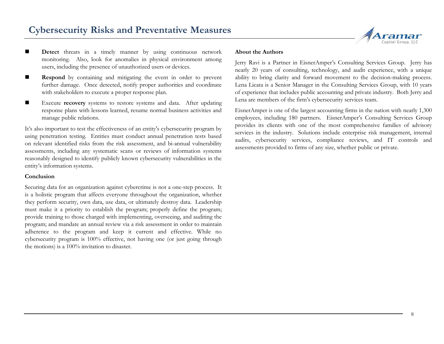

- **Detect** threats in a timely manner by using continuous network monitoring. Also, look for anomalies in physical environment among users, including the presence of unauthorized users or devices.
- **Respond** by containing and mitigating the event in order to prevent further damage. Once detected, notify proper authorities and coordinate with stakeholders to execute a proper response plan.
- Execute **recovery** systems to restore systems and data. After updating response plans with lessons learned, resume normal business activities and manage public relations.

It's also important to test the effectiveness of an entity's cybersecurity program by using penetration testing. Entities must conduct annual penetration tests based on relevant identified risks from the risk assessment, and bi-annual vulnerability assessments, including any systematic scans or reviews of information systems reasonably designed to identify publicly known cybersecurity vulnerabilities in the entity's information systems.

#### **Conclusion**

Securing data for an organization against cybercrime is not a one-step process. It is a holistic program that affects everyone throughout the organization, whether they perform security, own data, use data, or ultimately destroy data. Leadership must make it a priority to establish the program; properly define the program; provide training to those charged with implementing, overseeing, and auditing the program; and mandate an annual review via a risk assessment in order to maintain adherence to the program and keep it current and effective. While no cybersecurity program is 100% effective, not having one (or just going through the motions) is a 100% invitation to disaster.

#### **About the Authors**

Jerry Ravi is a Partner in EisnerAmper's Consulting Services Group. Jerry has nearly 20 years of consulting, technology, and audit experience, with a unique ability to bring clarity and forward movement to the decision-making process. Lena Licata is a Senior Manager in the Consulting Services Group, with 10 years of experience that includes public accounting and private industry. Both Jerry and Lena are members of the firm's cybersecurity services team.

EisnerAmper is one of the largest accounting firms in the nation with nearly 1,300 employees, including 180 partners. EisnerAmper's Consulting Services Group provides its clients with one of the most comprehensive families of advisory services in the industry. Solutions include enterprise risk management, internal audits, cybersecurity services, compliance reviews, and IT controls and assessments provided to firms of any size, whether public or private.